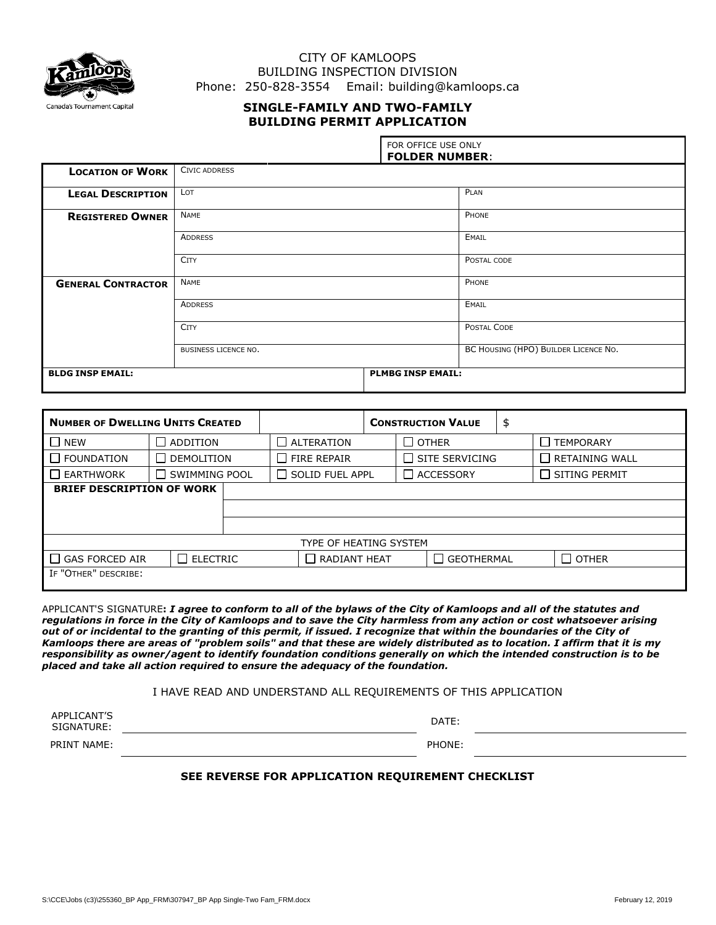

# CITY OF KAMLOOPS BUILDING INSPECTION DIVISION Phone: 250-828-3554 Email: building@kamloops.ca

# **SINGLE-FAMILY AND TWO-FAMILY BUILDING PERMIT APPLICATION**

|                           |                      | FOR OFFICE USE ONLY<br><b>FOLDER NUMBER:</b> |       |  |  |  |
|---------------------------|----------------------|----------------------------------------------|-------|--|--|--|
| <b>LOCATION OF WORK</b>   | <b>CIVIC ADDRESS</b> |                                              |       |  |  |  |
| <b>LEGAL DESCRIPTION</b>  | LOT                  |                                              | PLAN  |  |  |  |
| <b>REGISTERED OWNER</b>   | NAME                 |                                              | PHONE |  |  |  |
|                           | <b>ADDRESS</b>       |                                              | EMAIL |  |  |  |
|                           | <b>CITY</b>          | POSTAL CODE                                  |       |  |  |  |
| <b>GENERAL CONTRACTOR</b> | NAME                 |                                              | PHONE |  |  |  |
|                           | <b>ADDRESS</b>       | EMAIL                                        |       |  |  |  |
|                           | <b>CITY</b>          | POSTAL CODE                                  |       |  |  |  |
|                           | BUSINESS LICENCE NO. | BC HOUSING (HPO) BUILDER LICENCE NO.         |       |  |  |  |
| <b>BLDG INSP EMAIL:</b>   |                      | <b>PLMBG INSP EMAIL:</b>                     |       |  |  |  |

| <b>NUMBER OF DWELLING UNITS CREATED</b> |                      |                        |                    | <b>CONSTRUCTION VALUE</b> |                                | \$ |                       |
|-----------------------------------------|----------------------|------------------------|--------------------|---------------------------|--------------------------------|----|-----------------------|
| <b>NEW</b>                              | <b>ADDITION</b>      |                        | $\Box$ ALTERATION  |                           | $\Box$ other                   |    | <b>TEMPORARY</b>      |
| <b>FOUNDATION</b>                       | DEMOLITION           |                        | $\Box$ FIRE REPAIR |                           | SITE SERVICING<br>$\mathsf{L}$ |    | $\Box$ RETAINING WALL |
| <b>EARTHWORK</b>                        | <b>SWIMMING POOL</b> | $\Box$ SOLID FUEL APPL |                    |                           | $\Box$ ACCESSORY               |    | $\Box$ SITING PERMIT  |
| <b>BRIEF DESCRIPTION OF WORK</b>        |                      |                        |                    |                           |                                |    |                       |
|                                         |                      |                        |                    |                           |                                |    |                       |
|                                         |                      |                        |                    |                           |                                |    |                       |
| TYPE OF HEATING SYSTEM                  |                      |                        |                    |                           |                                |    |                       |
| <b>GAS FORCED AIR</b>                   | $\Box$ ELECTRIC      | $\Box$ RADIANT HEAT    |                    |                           | <b>GEOTHERMAL</b>              |    | $\Box$ other          |
| IF "OTHER" DESCRIBE:                    |                      |                        |                    |                           |                                |    |                       |

APPLICANT'S SIGNATURE**:** *I agree to conform to all of the bylaws of the City of Kamloops and all of the statutes and regulations in force in the City of Kamloops and to save the City harmless from any action or cost whatsoever arising out of or incidental to the granting of this permit, if issued. I recognize that within the boundaries of the City of Kamloops there are areas of "problem soils" and that these are widely distributed as to location. I affirm that it is my responsibility as owner/agent to identify foundation conditions generally on which the intended construction is to be placed and take all action required to ensure the adequacy of the foundation.*

#### I HAVE READ AND UNDERSTAND ALL REQUIREMENTS OF THIS APPLICATION

| APPLICANT'S<br>SIGNATURE: | DATE:  |
|---------------------------|--------|
| PRINT NAME:               | PHONE: |

### **SEE REVERSE FOR APPLICATION REQUIREMENT CHECKLIST**